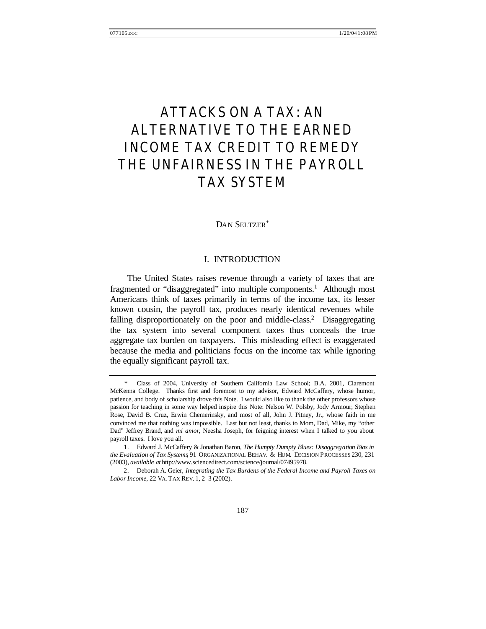# ATTACKS ON A TAX: AN ALTERNATIVE TO THE EARNED INCOME TAX CREDIT TO REMEDY THE UNFAIRNESS IN THE PAYROLL TAX SYSTEM

### DAN SELTZER\*

### I. INTRODUCTION

The United States raises revenue through a variety of taxes that are fragmented or "disaggregated" into multiple components.<sup>1</sup> Although most Americans think of taxes primarily in terms of the income tax, its lesser known cousin, the payroll tax, produces nearly identical revenues while falling disproportionately on the poor and middle-class.<sup>2</sup> Disaggregating the tax system into several component taxes thus conceals the true aggregate tax burden on taxpayers. This misleading effect is exaggerated because the media and politicians focus on the income tax while ignoring the equally significant payroll tax.

 <sup>\*</sup> Class of 2004, University of Southern California Law School; B.A. 2001, Claremont McKenna College. Thanks first and foremost to my advisor, Edward McCaffery, whose humor, patience, and body of scholarship drove this Note. I would also like to thank the other professors whose passion for teaching in some way helped inspire this Note: Nelson W. Polsby, Jody Armour, Stephen Rose, David B. Cruz, Erwin Chemerinsky, and most of all, John J. Pitney, Jr., whose faith in me convinced me that nothing was impossible. Last but not least, thanks to Mom, Dad, Mike, my "other Dad" Jeffrey Brand, and *mi amor*, Neesha Joseph, for feigning interest when I talked to you about payroll taxes. I love you all.

<sup>1.</sup> Edward J. McCaffery & Jonathan Baron, *The Humpty Dumpty Blues: Disaggregation Bias in the Evaluation of Tax Systems*, 91 ORGANIZATIONAL BEHAV. & HUM. DECISION PROCESSES 230, 231 (2003), *available at* http://www.sciencedirect.com/science/journal/07495978.

<sup>2.</sup> Deborah A. Geier, *Integrating the Tax Burdens of the Federal Income and Payroll Taxes on Labor Income*, 22 VA. TAX REV. 1, 2–3 (2002).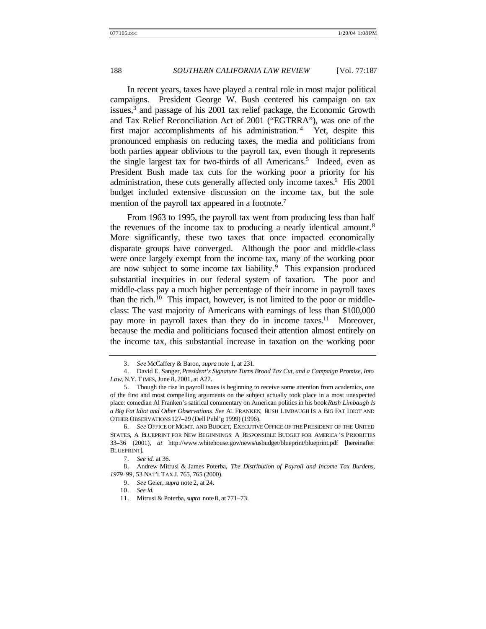In recent years, taxes have played a central role in most major political campaigns. President George W. Bush centered his campaign on tax issues,<sup>3</sup> and passage of his 2001 tax relief package, the Economic Growth and Tax Relief Reconciliation Act of 2001 ("EGTRRA"), was one of the first major accomplishments of his administration.<sup>4</sup> Yet, despite this pronounced emphasis on reducing taxes, the media and politicians from both parties appear oblivious to the payroll tax, even though it represents the single largest tax for two-thirds of all Americans.<sup>5</sup> Indeed, even as President Bush made tax cuts for the working poor a priority for his administration, these cuts generally affected only income taxes.<sup>6</sup> His 2001 budget included extensive discussion on the income tax, but the sole mention of the payroll tax appeared in a footnote.<sup>7</sup>

From 1963 to 1995, the payroll tax went from producing less than half the revenues of the income tax to producing a nearly identical amount.<sup>8</sup> More significantly, these two taxes that once impacted economically disparate groups have converged. Although the poor and middle-class were once largely exempt from the income tax, many of the working poor are now subject to some income tax liability.<sup>9</sup> This expansion produced substantial inequities in our federal system of taxation. The poor and middle-class pay a much higher percentage of their income in payroll taxes than the rich.<sup>10</sup> This impact, however, is not limited to the poor or middleclass: The vast majority of Americans with earnings of less than \$100,000 pay more in payroll taxes than they do in income taxes.<sup>11</sup> Moreover, because the media and politicians focused their attention almost entirely on the income tax, this substantial increase in taxation on the working poor

<sup>3.</sup> *See* McCaffery & Baron, *supra* note 1, at 231.

<sup>4.</sup> David E. Sanger, *President's Signature Turns Broad Tax Cut, and a Campaign Promise, Into Law*, N.Y. T IMES, June 8, 2001, at A22.

<sup>5.</sup> Though the rise in payroll taxes is beginning to receive some attention from academics, one of the first and most compelling arguments on the subject actually took place in a most unexpected place: comedian Al Franken's satirical commentary on American politics in his book *Rush Limbaugh Is a Big Fat Idiot and Other Observations*. *See* AL FRANKEN, RUSH LIMBAUGH IS A BIG FAT IDIOT AND OTHER OBSERVATIONS 127–29 (Dell Publ'g 1999) (1996).

<sup>6.</sup> *See* OFFICE OF MGMT. AND BUDGET, EXECUTIVE OFFICE OF THE PRESIDENT OF THE UNITED STATES, A BLUEPRINT FOR NEW BEGINNINGS: A RESPONSIBLE BUDGET FOR AMERICA'S PRIORITIES 33–36 (2001), *at* http://www.whitehouse.gov/news/usbudget/blueprint/blueprint.pdf [hereinafter BLUEPRINT].

<sup>7.</sup> *See id.* at 36.

<sup>8.</sup> Andrew Mitrusi & James Poterba, *The Distribution of Payroll and Income Tax Burdens, 1979–99*, 53 NAT'L TAX J. 765, 765 (2000).

<sup>9.</sup> *See* Geier, *supra* note 2, at 24.

<sup>10.</sup> *See id.*

<sup>11.</sup> Mitrusi & Poterba, *supra* note 8, at 771–73.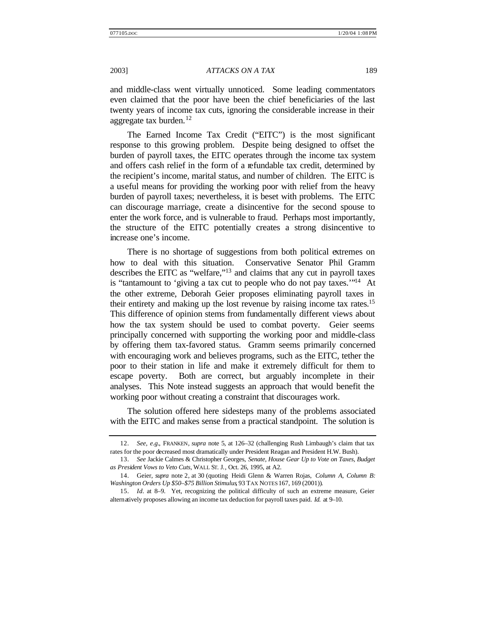and middle-class went virtually unnoticed. Some leading commentators even claimed that the poor have been the chief beneficiaries of the last twenty years of income tax cuts, ignoring the considerable increase in their aggregate tax burden.<sup>12</sup>

The Earned Income Tax Credit ("EITC") is the most significant response to this growing problem. Despite being designed to offset the burden of payroll taxes, the EITC operates through the income tax system and offers cash relief in the form of a refundable tax credit, determined by the recipient's income, marital status, and number of children. The EITC is a useful means for providing the working poor with relief from the heavy burden of payroll taxes; nevertheless, it is beset with problems. The EITC can discourage marriage, create a disincentive for the second spouse to enter the work force, and is vulnerable to fraud. Perhaps most importantly, the structure of the EITC potentially creates a strong disincentive to increase one's income.

There is no shortage of suggestions from both political extremes on how to deal with this situation. Conservative Senator Phil Gramm describes the EITC as "welfare,"<sup>13</sup> and claims that any cut in payroll taxes is "tantamount to 'giving a tax cut to people who do not pay taxes.'"<sup>14</sup> At the other extreme, Deborah Geier proposes eliminating payroll taxes in their entirety and making up the lost revenue by raising income tax rates.<sup>15</sup> This difference of opinion stems from fundamentally different views about how the tax system should be used to combat poverty. Geier seems principally concerned with supporting the working poor and middle-class by offering them tax-favored status. Gramm seems primarily concerned with encouraging work and believes programs, such as the EITC, tether the poor to their station in life and make it extremely difficult for them to escape poverty. Both are correct, but arguably incomplete in their analyses. This Note instead suggests an approach that would benefit the working poor without creating a constraint that discourages work.

The solution offered here sidesteps many of the problems associated with the EITC and makes sense from a practical standpoint. The solution is

<sup>12.</sup> *See, e.g.*, FRANKEN, *supra* note 5, at 126–32 (challenging Rush Limbaugh's claim that tax rates for the poor decreased most dramatically under President Reagan and President H.W. Bush).

<sup>13.</sup> *See* Jackie Calmes & Christopher Georges, *Senate, House Gear Up to Vote on Taxes, Budget as President Vows to Veto Cuts*, WALL ST. J., Oct. 26, 1995, at A2.

<sup>14.</sup> Geier, *supra* note 2, at 30 (quoting Heidi Glenn & Warren Rojas, *Column A, Column B: Washington Orders Up \$50–\$75 Billion Stimulus*, 93 TAX NOTES 167, 169 (2001)).

<sup>15.</sup> *Id.* at 8–9. Yet, recognizing the political difficulty of such an extreme measure, Geier alternatively proposes allowing an income tax deduction for payroll taxes paid. *Id.* at 9–10.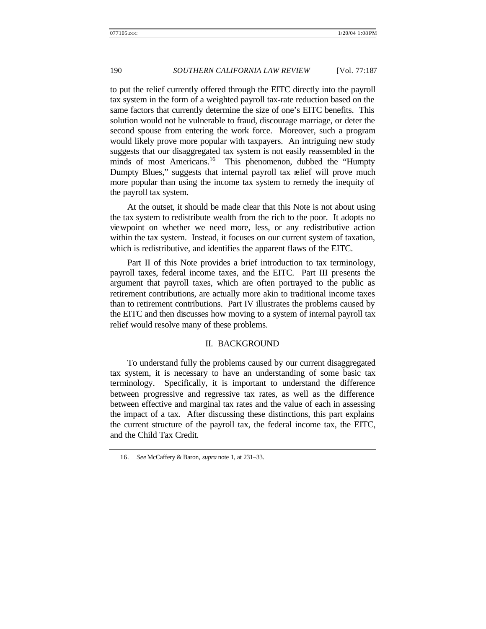to put the relief currently offered through the EITC directly into the payroll tax system in the form of a weighted payroll tax-rate reduction based on the same factors that currently determine the size of one's EITC benefits. This solution would not be vulnerable to fraud, discourage marriage, or deter the second spouse from entering the work force. Moreover, such a program would likely prove more popular with taxpayers. An intriguing new study suggests that our disaggregated tax system is not easily reassembled in the minds of most Americans.<sup>16</sup> This phenomenon, dubbed the "Humpty Dumpty Blues," suggests that internal payroll tax relief will prove much more popular than using the income tax system to remedy the inequity of the payroll tax system.

At the outset, it should be made clear that this Note is not about using the tax system to redistribute wealth from the rich to the poor. It adopts no viewpoint on whether we need more, less, or any redistributive action within the tax system. Instead, it focuses on our current system of taxation, which is redistributive, and identifies the apparent flaws of the EITC.

Part II of this Note provides a brief introduction to tax terminology, payroll taxes, federal income taxes, and the EITC. Part III presents the argument that payroll taxes, which are often portrayed to the public as retirement contributions, are actually more akin to traditional income taxes than to retirement contributions. Part IV illustrates the problems caused by the EITC and then discusses how moving to a system of internal payroll tax relief would resolve many of these problems.

### II. BACKGROUND

To understand fully the problems caused by our current disaggregated tax system, it is necessary to have an understanding of some basic tax terminology. Specifically, it is important to understand the difference between progressive and regressive tax rates, as well as the difference between effective and marginal tax rates and the value of each in assessing the impact of a tax. After discussing these distinctions, this part explains the current structure of the payroll tax, the federal income tax, the EITC, and the Child Tax Credit.

<sup>16.</sup> *See* McCaffery & Baron, *supra* note 1, at 231–33.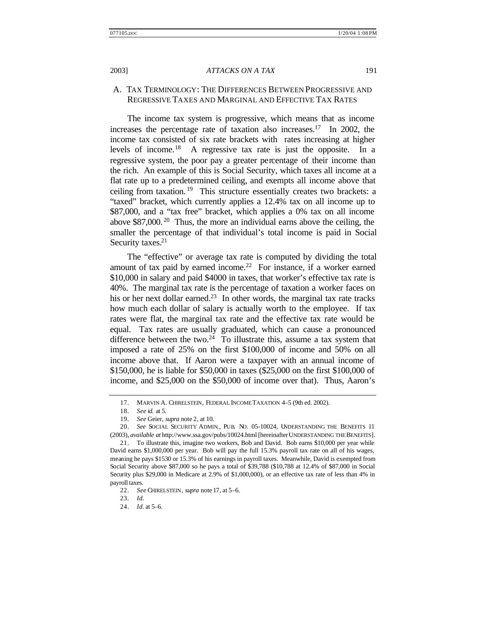### A. TAX TERMINOLOGY: THE DIFFERENCES BETWEEN PROGRESSIVE AND REGRESSIVE TAXES AND MARGINAL AND EFFECTIVE TAX RATES

The income tax system is progressive, which means that as income increases the percentage rate of taxation also increases.<sup>17</sup> In 2002, the income tax consisted of six rate brackets with rates increasing at higher levels of income.<sup>18</sup> A regressive tax rate is just the opposite. In a regressive system, the poor pay a greater percentage of their income than the rich. An example of this is Social Security, which taxes all income at a flat rate up to a predetermined ceiling, and exempts all income above that ceiling from taxation. <sup>19</sup> This structure essentially creates two brackets: a "taxed" bracket, which currently applies a 12.4% tax on all income up to \$87,000, and a "tax free" bracket, which applies a 0% tax on all income above  $$87,000$ .<sup>20</sup> Thus, the more an individual earns above the ceiling, the smaller the percentage of that individual's total income is paid in Social Security taxes.<sup>21</sup>

The "effective" or average tax rate is computed by dividing the total amount of tax paid by earned income.<sup>22</sup> For instance, if a worker earned \$10,000 in salary and paid \$4000 in taxes, that worker's effective tax rate is 40%. The marginal tax rate is the percentage of taxation a worker faces on his or her next dollar earned.<sup>23</sup> In other words, the marginal tax rate tracks how much each dollar of salary is actually worth to the employee. If tax rates were flat, the marginal tax rate and the effective tax rate would be equal. Tax rates are usually graduated, which can cause a pronounced difference between the two.<sup>24</sup> To illustrate this, assume a tax system that imposed a rate of 25% on the first \$100,000 of income and 50% on all income above that. If Aaron were a taxpayer with an annual income of \$150,000, he is liable for \$50,000 in taxes (\$25,000 on the first \$100,000 of income, and \$25,000 on the \$50,000 of income over that). Thus, Aaron's

<sup>17.</sup> MARVIN A. CHIRELSTEIN, FEDERAL INCOME TAXATION 4–5 (9th ed. 2002).

<sup>18.</sup> *See id.* at 5.

<sup>19.</sup> *See* Geier, *supra* note 2, at 10.

<sup>20.</sup> *See* SOCIAL SECURITY ADMIN., PUB. NO. 05-10024, UNDERSTANDING THE BENEFITS 11 (2003), *available at* http://www.ssa.gov/pubs/10024.html [hereinafterUNDERSTANDING THE BENEFITS].

<sup>21.</sup> To illustrate this, imagine two workers, Bob and David. Bob earns \$10,000 per year while David earns \$1,000,000 per year. Bob will pay the full 15.3% payroll tax rate on all of his wages, meaning he pays \$1530 or 15.3% of his earnings in payroll taxes. Meanwhile, David is exempted from Social Security above \$87,000 so he pays a total of \$39,788 (\$10,788 at 12.4% of \$87,000 in Social Security plus \$29,000 in Medicare at 2.9% of \$1,000,000), or an effective tax rate of less than 4% in payroll taxes.

<sup>22.</sup> *See* CHIRELSTEIN, *supra* note 17, at 5–6.

<sup>23.</sup> *Id.*

<sup>24.</sup> *Id.* at 5–6.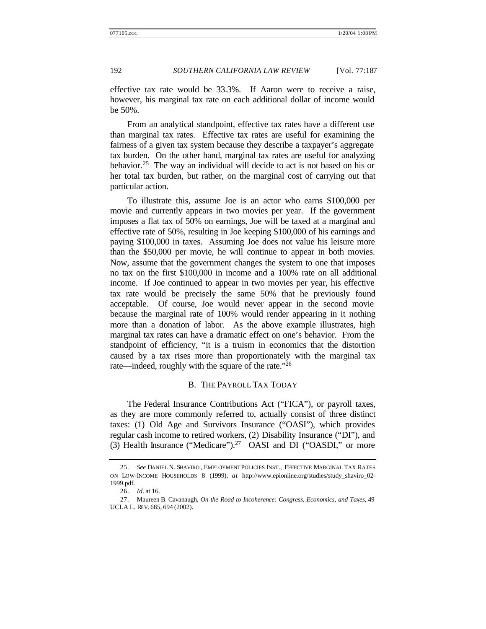effective tax rate would be 33.3%. If Aaron were to receive a raise, however, his marginal tax rate on each additional dollar of income would be 50%.

From an analytical standpoint, effective tax rates have a different use than marginal tax rates. Effective tax rates are useful for examining the fairness of a given tax system because they describe a taxpayer's aggregate tax burden. On the other hand, marginal tax rates are useful for analyzing behavior.<sup>25</sup> The way an individual will decide to act is not based on his or her total tax burden, but rather, on the marginal cost of carrying out that particular action.

To illustrate this, assume Joe is an actor who earns \$100,000 per movie and currently appears in two movies per year. If the government imposes a flat tax of 50% on earnings, Joe will be taxed at a marginal and effective rate of 50%, resulting in Joe keeping \$100,000 of his earnings and paying \$100,000 in taxes. Assuming Joe does not value his leisure more than the \$50,000 per movie, he will continue to appear in both movies. Now, assume that the government changes the system to one that imposes no tax on the first \$100,000 in income and a 100% rate on all additional income. If Joe continued to appear in two movies per year, his effective tax rate would be precisely the same 50% that he previously found acceptable. Of course, Joe would never appear in the second movie because the marginal rate of 100% would render appearing in it nothing more than a donation of labor. As the above example illustrates, high marginal tax rates can have a dramatic effect on one's behavior. From the standpoint of efficiency, "it is a truism in economics that the distortion caused by a tax rises more than proportionately with the marginal tax rate—indeed, roughly with the square of the rate."<sup>26</sup>

## B. THE PAYROLL TAX TODAY

The Federal Insurance Contributions Act ("FICA"), or payroll taxes, as they are more commonly referred to, actually consist of three distinct taxes: (1) Old Age and Survivors Insurance ("OASI"), which provides regular cash income to retired workers, (2) Disability Insurance ("DI"), and (3) Health Insurance ("Medicare").<sup>27</sup> OASI and DI ("OASDI," or more

<sup>25.</sup> *See* DANIEL N. SHAVIRO , EMPLOYMENT POLICIES INST., EFFECTIVE MARGINAL TAX RATES ON LOW-INCOME HOUSEHOLDS 8 (1999), *at* http://www.epionline.org/studies/study\_shaviro\_02- 1999.pdf.

<sup>26.</sup> *Id.* at 16.

<sup>27.</sup> Maureen B. Cavanaugh, *On the Road to Incoherence: Congress, Economics, and Taxes*, 49 UCLA L. REV. 685, 694 (2002).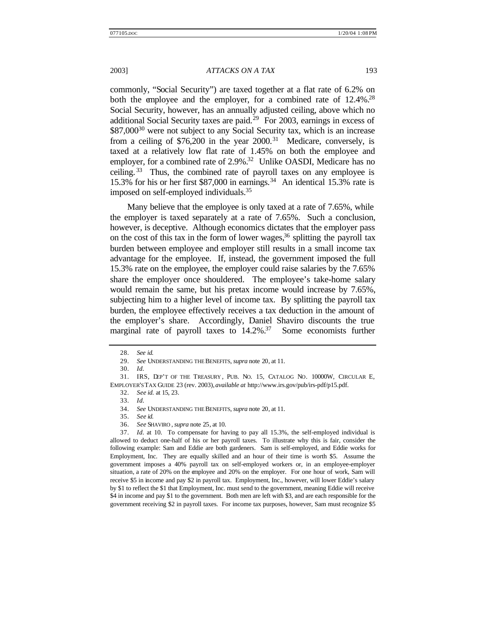commonly, "Social Security") are taxed together at a flat rate of 6.2% on both the employee and the employer, for a combined rate of 12.4%.<sup>28</sup> Social Security, however, has an annually adjusted ceiling, above which no additional Social Security taxes are paid.<sup>29</sup> For 2003, earnings in excess of \$87,000<sup>30</sup> were not subject to any Social Security tax, which is an increase from a ceiling of  $$76,200$  in the year  $2000$ .<sup>31</sup> Medicare, conversely, is taxed at a relatively low flat rate of 1.45% on both the employee and employer, for a combined rate of 2.9%.<sup>32</sup> Unlike OASDI, Medicare has no ceiling. <sup>33</sup> Thus, the combined rate of payroll taxes on any employee is 15.3% for his or her first \$87,000 in earnings.<sup>34</sup> An identical 15.3% rate is imposed on self-employed individuals.<sup>35</sup>

Many believe that the employee is only taxed at a rate of 7.65%, while the employer is taxed separately at a rate of 7.65%. Such a conclusion, however, is deceptive. Although economics dictates that the employer pass on the cost of this tax in the form of lower wages,  $36$  splitting the payroll tax burden between employee and employer still results in a small income tax advantage for the employee. If, instead, the government imposed the full 15.3% rate on the employee, the employer could raise salaries by the 7.65% share the employer once shouldered. The employee's take-home salary would remain the same, but his pretax income would increase by 7.65%, subjecting him to a higher level of income tax. By splitting the payroll tax burden, the employee effectively receives a tax deduction in the amount of the employer's share. Accordingly, Daniel Shaviro discounts the true marginal rate of payroll taxes to 14.2%.<sup>37</sup> Some economists further

37. *Id.* at 10. To compensate for having to pay all 15.3%, the self-employed individual is allowed to deduct one-half of his or her payroll taxes. To illustrate why this is fair, consider the following example: Sam and Eddie are both gardeners. Sam is self-employed, and Eddie works for Employment, Inc. They are equally skilled and an hour of their time is worth \$5. Assume the government imposes a 40% payroll tax on self-employed workers or, in an employee-employer situation, a rate of 20% on the employee and 20% on the employer. For one hour of work, Sam will receive \$5 in income and pay \$2 in payroll tax. Employment, Inc., however, will lower Eddie's salary by \$1 to reflect the \$1 that Employment, Inc. must send to the government, meaning Eddie will receive \$4 in income and pay \$1 to the government. Both men are left with \$3, and are each responsible for the government receiving \$2 in payroll taxes. For income tax purposes, however, Sam must recognize \$5

<sup>28.</sup> *See id.*

<sup>29.</sup> *See* UNDERSTANDING THE BENEFITS, *supra* note 20, at 11.

<sup>30.</sup> *Id.*

<sup>31.</sup> IRS, DEP'T OF THE TREASURY , PUB. NO. 15, CATALOG NO. 10000W, CIRCULAR E, EMPLOYER'S TAX GUIDE 23 (rev. 2003), *available at* http://www.irs.gov/pub/irs-pdf/p15.pdf.

<sup>32.</sup> *See id.* at 15, 23*.*

<sup>33.</sup> *Id.*

<sup>34.</sup> *See* UNDERSTANDING THE BENEFITS, *supra* note 20, at 11.

<sup>35.</sup> *See id.*

<sup>36.</sup> *See* SHAVIRO , *supra* note 25, at 10.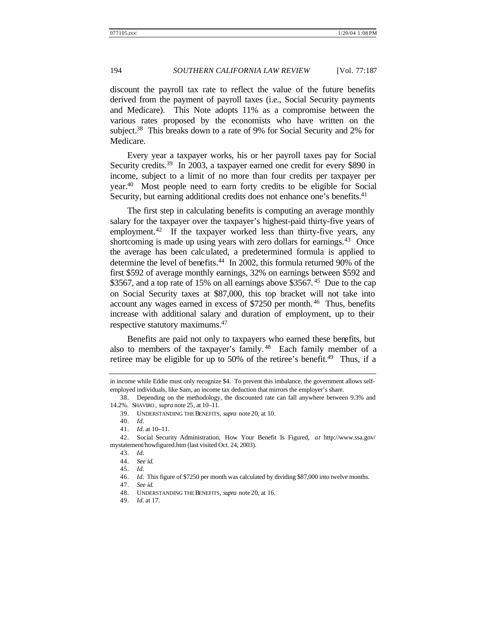discount the payroll tax rate to reflect the value of the future benefits derived from the payment of payroll taxes (i.e., Social Security payments and Medicare). This Note adopts 11% as a compromise between the various rates proposed by the economists who have written on the subject.<sup>38</sup> This breaks down to a rate of 9% for Social Security and 2% for Medicare.

Every year a taxpayer works, his or her payroll taxes pay for Social Security credits.<sup>39</sup> In 2003, a taxpayer earned one credit for every \$890 in income, subject to a limit of no more than four credits per taxpayer per year.<sup>40</sup> Most people need to earn forty credits to be eligible for Social Security, but earning additional credits does not enhance one's benefits.<sup>41</sup>

The first step in calculating benefits is computing an average monthly salary for the taxpayer over the taxpayer's highest-paid thirty-five years of employment.<sup>42</sup> If the taxpayer worked less than thirty-five years, any shortcoming is made up using years with zero dollars for earnings.  $43$  Once the average has been calculated, a predetermined formula is applied to determine the level of benefits.<sup>44</sup> In 2002, this formula returned 90% of the first \$592 of average monthly earnings, 32% on earnings between \$592 and \$3567, and a top rate of 15% on all earnings above \$3567.<sup>45</sup> Due to the cap on Social Security taxes at \$87,000, this top bracket will not take into account any wages earned in excess of \$7250 per month. <sup>46</sup> Thus, benefits increase with additional salary and duration of employment, up to their respective statutory maximums.<sup>47</sup>

Benefits are paid not only to taxpayers who earned these benefits, but also to members of the taxpayer's family. <sup>48</sup> Each family member of a retiree may be eligible for up to 50% of the retiree's benefit.<sup>49</sup> Thus, if a

in income while Eddie must only recognize \$4. To prevent this imbalance, the government allows selfemployed individuals, like Sam, an income tax deduction that mirrors the employer's share.

<sup>38.</sup> Depending on the methodology, the discounted rate can fall anywhere between 9.3% and 14.2%. SHAVIRO , *supra* note 25, at 10–11.

<sup>39.</sup> UNDERSTANDING THE BENEFITS, *supra* note 20, at 10.

<sup>40.</sup> *Id.*

<sup>41.</sup> *Id.* at 10–11.

<sup>42.</sup> Social Security Administration, How Your Benefit Is Figured, *at* http://www.ssa.gov/ mystatement/howfigured.htm (last visited Oct. 24, 2003).

<sup>43.</sup> *Id.*

<sup>44.</sup> *See id.*

<sup>45.</sup> *Id.*

<sup>46.</sup> *Id.* This figure of \$7250 per month was calculated by dividing \$87,000 into twelve months.

<sup>47.</sup> *See id.*

<sup>48.</sup> UNDERSTANDING THE BENEFITS, *supra* note 20, at 16.

<sup>49.</sup> *Id.* at 17.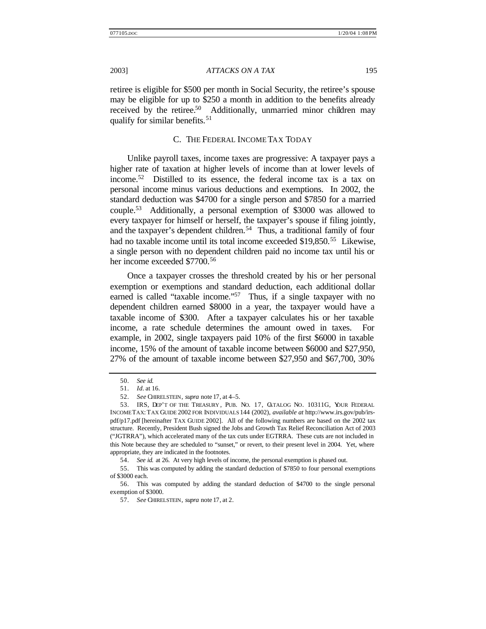retiree is eligible for \$500 per month in Social Security, the retiree's spouse may be eligible for up to \$250 a month in addition to the benefits already received by the retiree.<sup>50</sup> Additionally, unmarried minor children may qualify for similar benefits.<sup>51</sup>

### C. THE FEDERAL INCOME TAX TODAY

Unlike payroll taxes, income taxes are progressive: A taxpayer pays a higher rate of taxation at higher levels of income than at lower levels of income.<sup>52</sup> Distilled to its essence, the federal income tax is a tax on personal income minus various deductions and exemptions. In 2002, the standard deduction was \$4700 for a single person and \$7850 for a married couple.<sup>53</sup> Additionally, a personal exemption of \$3000 was allowed to every taxpayer for himself or herself, the taxpayer's spouse if filing jointly, and the taxpayer's dependent children.<sup>54</sup> Thus, a traditional family of four had no taxable income until its total income exceeded \$19,850.<sup>55</sup> Likewise, a single person with no dependent children paid no income tax until his or her income exceeded \$7700.<sup>56</sup>

Once a taxpayer crosses the threshold created by his or her personal exemption or exemptions and standard deduction, each additional dollar earned is called "taxable income."<sup>57</sup> Thus, if a single taxpayer with no dependent children earned \$8000 in a year, the taxpayer would have a taxable income of \$300. After a taxpayer calculates his or her taxable income, a rate schedule determines the amount owed in taxes. For example, in 2002, single taxpayers paid 10% of the first \$6000 in taxable income, 15% of the amount of taxable income between \$6000 and \$27,950, 27% of the amount of taxable income between \$27,950 and \$67,700, 30%

54. *See id.* at 26. At very high levels of income, the personal exemption is phased out.

<sup>50.</sup> *See id.*

<sup>51.</sup> *Id.* at 16.

<sup>52.</sup> *See* CHIRELSTEIN, *supra* note 17, at 4–5.

<sup>53.</sup> IRS, DEP'T OF THE TREASURY , PUB. NO. 17, CATALOG NO. 10311G, YOUR FEDERAL INCOME TAX: TAX GUIDE 2002 FOR INDIVIDUALS 144 (2002), *available at* http://www.irs.gov/pub/irspdf/p17.pdf [hereinafter TAX GUIDE 2002]. All of the following numbers are based on the 2002 tax structure. Recently, President Bush signed the Jobs and Growth Tax Relief Reconciliation Act of 2003 ("JGTRRA"), which accelerated many of the tax cuts under EGTRRA. These cuts are not included in this Note because they are scheduled to "sunset," or revert, to their present level in 2004. Yet, where appropriate, they are indicated in the footnotes.

<sup>55.</sup> This was computed by adding the standard deduction of \$7850 to four personal exemptions of \$3000 each.

<sup>56.</sup> This was computed by adding the standard deduction of \$4700 to the single personal exemption of \$3000.

<sup>57.</sup> *See* CHIRELSTEIN, *supra* note 17, at 2.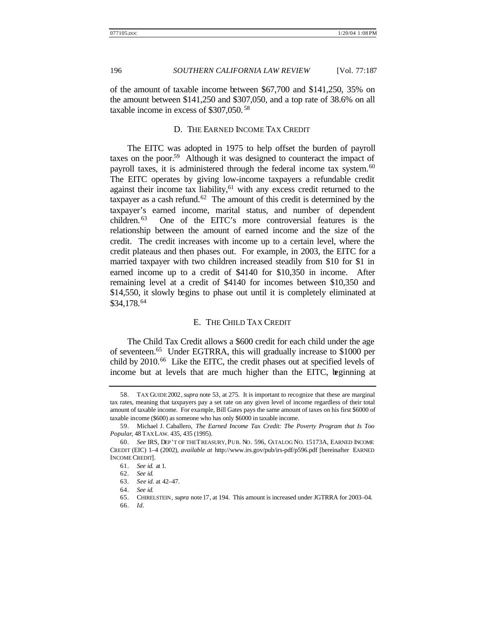of the amount of taxable income between \$67,700 and \$141,250, 35% on the amount between \$141,250 and \$307,050, and a top rate of 38.6% on all taxable income in excess of \$307,050. <sup>58</sup>

### D. THE EARNED INCOME TAX CREDIT

The EITC was adopted in 1975 to help offset the burden of payroll taxes on the poor.<sup>59</sup> Although it was designed to counteract the impact of payroll taxes, it is administered through the federal income tax system.<sup>60</sup> The EITC operates by giving low-income taxpayers a refundable credit against their income tax liability, $61$  with any excess credit returned to the taxpayer as a cash refund. $62$  The amount of this credit is determined by the taxpayer's earned income, marital status, and number of dependent children. <sup>63</sup> One of the EITC's more controversial features is the relationship between the amount of earned income and the size of the credit. The credit increases with income up to a certain level, where the credit plateaus and then phases out. For example, in 2003, the EITC for a married taxpayer with two children increased steadily from \$10 for \$1 in earned income up to a credit of \$4140 for \$10,350 in income. After remaining level at a credit of \$4140 for incomes between \$10,350 and \$14,550, it slowly begins to phase out until it is completely eliminated at \$34,178.<sup>64</sup>

### E. THE CHILD TAX CREDIT

The Child Tax Credit allows a \$600 credit for each child under the age of seventeen.<sup>65</sup> Under EGTRRA, this will gradually increase to \$1000 per child by  $2010<sup>66</sup>$  Like the EITC, the credit phases out at specified levels of income but at levels that are much higher than the EITC, beginning at

<sup>58.</sup> TAX GUIDE 2002, *supra* note 53, at 275. It is important to recognize that these are marginal tax rates, meaning that taxpayers pay a set rate on any given level of income regardless of their total amount of taxable income. For example, Bill Gates pays the same amount of taxes on his first \$6000 of taxable income (\$600) as someone who has only \$6000 in taxable income.

<sup>59.</sup> Michael J. Caballero, *The Earned Income Tax Credit: The Poverty Program that Is Too Popular*, 48 TAX LAW. 435, 435 (1995).

<sup>60.</sup> *See* IRS, DEP'T OF THE TREASURY, PUB. NO. 596, CATALOG NO. 15173A, EARNED INCOME CREDIT (EIC) 1–4 (2002), *available at* http://www.irs.gov/pub/irs-pdf/p596.pdf [hereinafter EARNED INCOME CREDIT].

<sup>61.</sup> *See id.* at 1.

<sup>62.</sup> *See id.*

<sup>63.</sup> *See id.* at 42–47.

<sup>64.</sup> *See id.*

<sup>65.</sup> CHIRELSTEIN, *supra* note 17, at 194. This amount is increased under JGTRRA for 2003–04.

<sup>66.</sup> *Id.*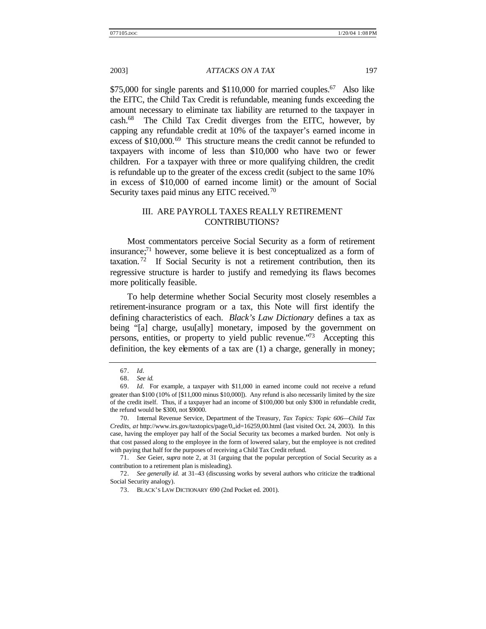$$75,000$  for single parents and  $$110,000$  for married couples.<sup>67</sup> Also like the EITC, the Child Tax Credit is refundable, meaning funds exceeding the amount necessary to eliminate tax liability are returned to the taxpayer in cash.<sup>68</sup> The Child Tax Credit diverges from the EITC, however, by capping any refundable credit at 10% of the taxpayer's earned income in excess of \$10,000.<sup>69</sup> This structure means the credit cannot be refunded to taxpayers with income of less than \$10,000 who have two or fewer children. For a taxpayer with three or more qualifying children, the credit is refundable up to the greater of the excess credit (subject to the same 10% in excess of \$10,000 of earned income limit) or the amount of Social Security taxes paid minus any EITC received.<sup>70</sup>

# III. ARE PAYROLL TAXES REALLY RETIREMENT CONTRIBUTIONS?

Most commentators perceive Social Security as a form of retirement insurance; $\frac{71}{1}$  however, some believe it is best conceptualized as a form of taxation.<sup>72</sup> If Social Security is not a retirement contribution, then its regressive structure is harder to justify and remedying its flaws becomes more politically feasible.

To help determine whether Social Security most closely resembles a retirement-insurance program or a tax, this Note will first identify the defining characteristics of each. *Black's Law Dictionary* defines a tax as being "[a] charge, usu[ally] monetary, imposed by the government on persons, entities, or property to yield public revenue.<sup>773</sup> Accepting this definition, the key elements of a tax are (1) a charge, generally in money;

<sup>67.</sup> *Id.*

<sup>68.</sup> *See id.*

<sup>69.</sup> *Id.* For example, a taxpayer with \$11,000 in earned income could not receive a refund greater than \$100 (10% of [\$11,000 minus \$10,000]). Any refund is also necessarily limited by the size of the credit itself. Thus, if a taxpayer had an income of \$100,000 but only \$300 in refundable credit, the refund would be \$300, not \$9000.

<sup>70.</sup> Internal Revenue Service, Department of the Treasury, *Tax Topics: Topic 606—Child Tax Credits*, *at* http://www.irs.gov/taxtopics/page/0,,id=16259,00.html (last visited Oct. 24, 2003). In this case, having the employer pay half of the Social Security tax becomes a marked burden. Not only is that cost passed along to the employee in the form of lowered salary, but the employee is not credited with paying that half for the purposes of receiving a Child Tax Credit refund.

<sup>71.</sup> *See* Geier, *supra* note 2, at 31 (arguing that the popular perception of Social Security as a contribution to a retirement plan is misleading).

<sup>72.</sup> *See generally id.* at 31–43 (discussing works by several authors who criticize the traditional Social Security analogy).

<sup>73.</sup> BLACK'S LAW DICTIONARY 690 (2nd Pocket ed. 2001).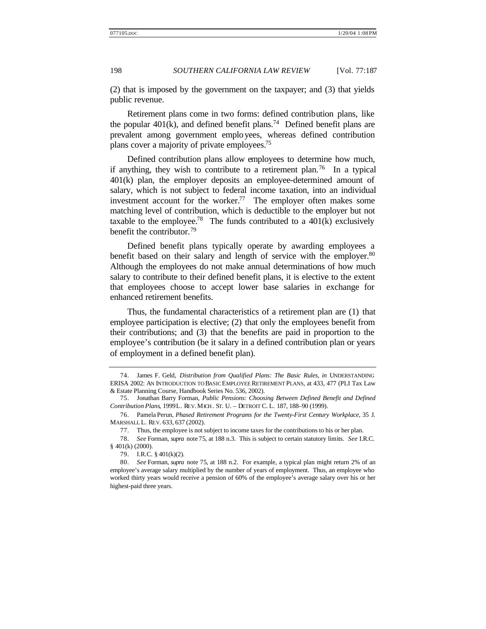(2) that is imposed by the government on the taxpayer; and (3) that yields public revenue.

Retirement plans come in two forms: defined contribution plans, like the popular  $401(k)$ , and defined benefit plans.<sup>74</sup> Defined benefit plans are prevalent among government employees, whereas defined contribution plans cover a majority of private employees.<sup>75</sup>

Defined contribution plans allow employees to determine how much, if anything, they wish to contribute to a retirement plan.<sup>76</sup> In a typical 401(k) plan, the employer deposits an employee-determined amount of salary, which is not subject to federal income taxation, into an individual investment account for the worker.<sup>77</sup> The employer often makes some matching level of contribution, which is deductible to the employer but not taxable to the employee.<sup>78</sup> The funds contributed to a  $401(k)$  exclusively benefit the contributor.<sup>79</sup>

Defined benefit plans typically operate by awarding employees a benefit based on their salary and length of service with the employer.<sup>80</sup> Although the employees do not make annual determinations of how much salary to contribute to their defined benefit plans, it is elective to the extent that employees choose to accept lower base salaries in exchange for enhanced retirement benefits.

Thus, the fundamental characteristics of a retirement plan are (1) that employee participation is elective; (2) that only the employees benefit from their contributions; and (3) that the benefits are paid in proportion to the employee's contribution (be it salary in a defined contribution plan or years of employment in a defined benefit plan).

<sup>74.</sup> James F. Geld, *Distribution from Qualified Plans: The Basic Rules*, *in* UNDERSTANDING ERISA 2002: AN INTRODUCTION TO BASIC EMPLOYEE RETIREMENT PLANS, at 433, 477 (PLI Tax Law & Estate Planning Course, Handbook Series No. 536, 2002).

<sup>75.</sup> Jonathan Barry Forman, *Public Pensions: Choosing Between Defined Benefit and Defined Contribution Plans*, 1999L. REV. MICH. ST. U. – DETROIT C. L. 187, 188–90 (1999).

<sup>76.</sup> Pamela Perun, *Phased Retirement Programs for the Twenty-First Century Workplace*, 35 J. MARSHALL L. REV. 633, 637 (2002).

<sup>77.</sup> Thus, the employee is not subject to income taxes for the contributions to his or her plan.

<sup>78.</sup> *See* Forman, *supra* note 75, at 188 n.3. This is subject to certain statutory limits. *See* I.R.C. § 401(k) (2000).

<sup>79.</sup> I.R.C. § 401(k)(2).

<sup>80.</sup> *See* Forman, *supra* note 75, at 188 n.2. For example, a typical plan might return 2% of an employee's average salary multiplied by the number of years of employment. Thus, an employee who worked thirty years would receive a pension of 60% of the employee's average salary over his or her highest-paid three years.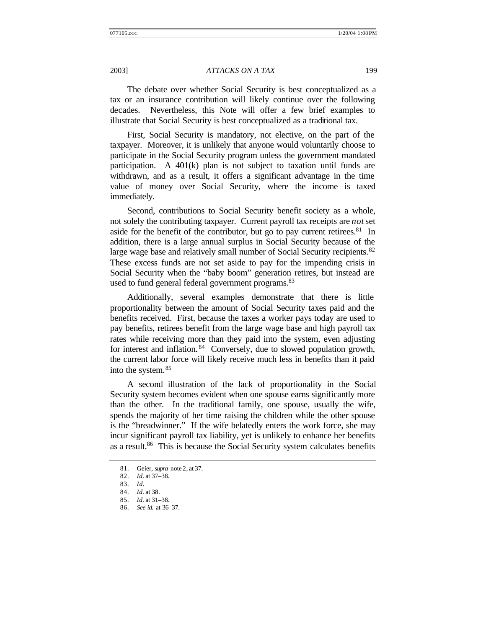The debate over whether Social Security is best conceptualized as a tax or an insurance contribution will likely continue over the following decades. Nevertheless, this Note will offer a few brief examples to illustrate that Social Security is best conceptualized as a traditional tax.

First, Social Security is mandatory, not elective, on the part of the taxpayer. Moreover, it is unlikely that anyone would voluntarily choose to participate in the Social Security program unless the government mandated participation. A 401(k) plan is not subject to taxation until funds are withdrawn, and as a result, it offers a significant advantage in the time value of money over Social Security, where the income is taxed immediately.

Second, contributions to Social Security benefit society as a whole, not solely the contributing taxpayer. Current payroll tax receipts are *not* set aside for the benefit of the contributor, but go to pay current retirees. $81$  In addition, there is a large annual surplus in Social Security because of the large wage base and relatively small number of Social Security recipients.<sup>82</sup> These excess funds are not set aside to pay for the impending crisis in Social Security when the "baby boom" generation retires, but instead are used to fund general federal government programs.<sup>83</sup>

Additionally, several examples demonstrate that there is little proportionality between the amount of Social Security taxes paid and the benefits received. First, because the taxes a worker pays today are used to pay benefits, retirees benefit from the large wage base and high payroll tax rates while receiving more than they paid into the system, even adjusting for interest and inflation. <sup>84</sup> Conversely, due to slowed population growth, the current labor force will likely receive much less in benefits than it paid into the system.<sup>85</sup>

A second illustration of the lack of proportionality in the Social Security system becomes evident when one spouse earns significantly more than the other. In the traditional family, one spouse, usually the wife, spends the majority of her time raising the children while the other spouse is the "breadwinner." If the wife belatedly enters the work force, she may incur significant payroll tax liability, yet is unlikely to enhance her benefits as a result.<sup>86</sup> This is because the Social Security system calculates benefits

<sup>81.</sup> Geier, *supra* note 2, at 37.

<sup>82.</sup> *Id.* at 37–38.

<sup>83.</sup> *Id.*

<sup>84.</sup> *Id.* at 38.

<sup>85.</sup> *Id.* at 31–38.

<sup>86.</sup> *See id.* at 36–37.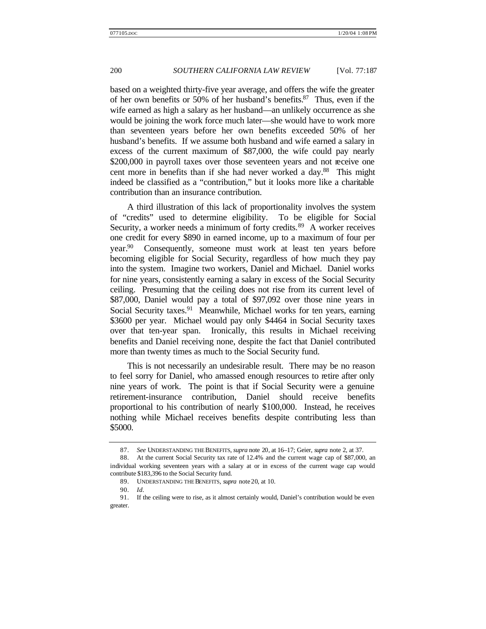based on a weighted thirty-five year average, and offers the wife the greater of her own benefits or 50% of her husband's benefits.<sup>87</sup> Thus, even if the wife earned as high a salary as her husband—an unlikely occurrence as she would be joining the work force much later—she would have to work more than seventeen years before her own benefits exceeded 50% of her husband's benefits. If we assume both husband and wife earned a salary in excess of the current maximum of \$87,000, the wife could pay nearly \$200,000 in payroll taxes over those seventeen years and not receive one cent more in benefits than if she had never worked a day.<sup>88</sup> This might indeed be classified as a "contribution," but it looks more like a charitable contribution than an insurance contribution.

A third illustration of this lack of proportionality involves the system of "credits" used to determine eligibility. To be eligible for Social Security, a worker needs a minimum of forty credits.<sup>89</sup> A worker receives one credit for every \$890 in earned income, up to a maximum of four per year.<sup>90</sup> Consequently, someone must work at least ten years before becoming eligible for Social Security, regardless of how much they pay into the system. Imagine two workers, Daniel and Michael. Daniel works for nine years, consistently earning a salary in excess of the Social Security ceiling. Presuming that the ceiling does not rise from its current level of \$87,000, Daniel would pay a total of \$97,092 over those nine years in Social Security taxes.<sup>91</sup> Meanwhile, Michael works for ten years, earning \$3600 per year. Michael would pay only \$4464 in Social Security taxes over that ten-year span. Ironically, this results in Michael receiving benefits and Daniel receiving none, despite the fact that Daniel contributed more than twenty times as much to the Social Security fund.

This is not necessarily an undesirable result. There may be no reason to feel sorry for Daniel, who amassed enough resources to retire after only nine years of work. The point is that if Social Security were a genuine retirement-insurance contribution, Daniel should receive benefits proportional to his contribution of nearly \$100,000. Instead, he receives nothing while Michael receives benefits despite contributing less than \$5000.

<sup>87.</sup> *See* UNDERSTANDING THE BENEFITS, *supra* note 20, at 16–17; Geier, *supra* note 2, at 37.

<sup>88.</sup> At the current Social Security tax rate of 12.4% and the current wage cap of \$87,000, an individual working seventeen years with a salary at or in excess of the current wage cap would contribute \$183,396 to the Social Security fund.

<sup>89.</sup> UNDERSTANDING THE BENEFITS, *supra* note 20, at 10.

<sup>90.</sup> *Id.*

<sup>91.</sup> If the ceiling were to rise, as it almost certainly would, Daniel's contribution would be even greater.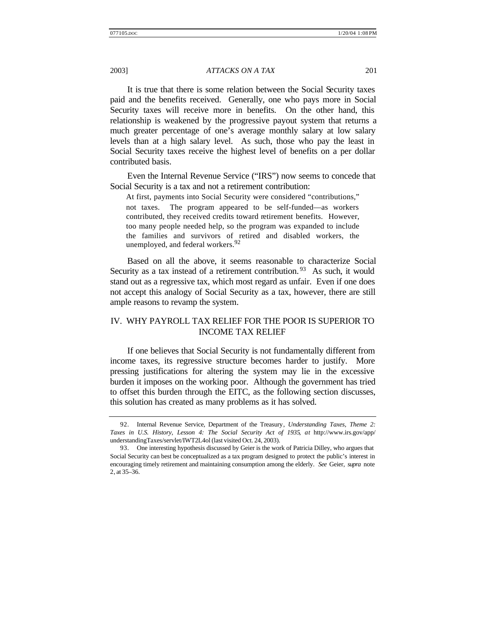It is true that there is some relation between the Social Security taxes paid and the benefits received. Generally, one who pays more in Social Security taxes will receive more in benefits. On the other hand, this relationship is weakened by the progressive payout system that returns a much greater percentage of one's average monthly salary at low salary levels than at a high salary level. As such, those who pay the least in Social Security taxes receive the highest level of benefits on a per dollar contributed basis.

Even the Internal Revenue Service ("IRS") now seems to concede that Social Security is a tax and not a retirement contribution:

At first, payments into Social Security were considered "contributions," not taxes. The program appeared to be self-funded—as workers contributed, they received credits toward retirement benefits. However, too many people needed help, so the program was expanded to include the families and survivors of retired and disabled workers, the unemployed, and federal workers.<sup>92</sup>

Based on all the above, it seems reasonable to characterize Social Security as a tax instead of a retirement contribution.<sup>93</sup> As such, it would stand out as a regressive tax, which most regard as unfair. Even if one does not accept this analogy of Social Security as a tax, however, there are still ample reasons to revamp the system.

# IV. WHY PAYROLL TAX RELIEF FOR THE POOR IS SUPERIOR TO INCOME TAX RELIEF

If one believes that Social Security is not fundamentally different from income taxes, its regressive structure becomes harder to justify. More pressing justifications for altering the system may lie in the excessive burden it imposes on the working poor. Although the government has tried to offset this burden through the EITC, as the following section discusses, this solution has created as many problems as it has solved.

<sup>92.</sup> Internal Revenue Service, Department of the Treasury, *Understanding Taxes, Theme 2: Taxes in U.S. History, Lesson 4: The Social Security Act of 1935*, *at* http://www.irs.gov/app/ understandingTaxes/servlet/IWT2L4ol (last visited Oct. 24, 2003).

<sup>93.</sup> One interesting hypothesis discussed by Geier is the work of Patricia Dilley, who argues that Social Security can best be conceptualized as a tax program designed to protect the public's interest in encouraging timely retirement and maintaining consumption among the elderly. *See* Geier, *supra* note 2, at 35–36.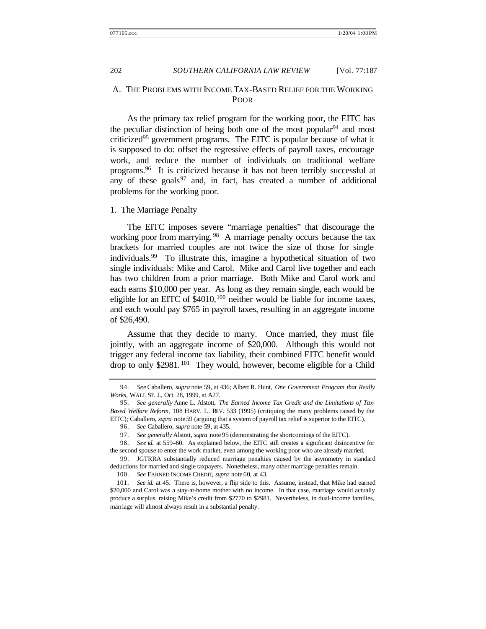# A. THE PROBLEMS WITH INCOME TAX-BASED RELIEF FOR THE WORKING POOR

As the primary tax relief program for the working poor, the EITC has the peculiar distinction of being both one of the most popular  $94$  and most criticized<sup>95</sup> government programs. The EITC is popular because of what it is supposed to do: offset the regressive effects of payroll taxes, encourage work, and reduce the number of individuals on traditional welfare programs.<sup>96</sup> It is criticized because it has not been terribly successful at any of these goals<sup>97</sup> and, in fact, has created a number of additional problems for the working poor.

### 1. The Marriage Penalty

The EITC imposes severe "marriage penalties" that discourage the working poor from marrying.<sup>98</sup> A marriage penalty occurs because the tax brackets for married couples are not twice the size of those for single individuals.<sup>99</sup> To illustrate this, imagine a hypothetical situation of two single individuals: Mike and Carol. Mike and Carol live together and each has two children from a prior marriage. Both Mike and Carol work and each earns \$10,000 per year. As long as they remain single, each would be eligible for an EITC of  $$4010$ ,  $^{100}$  neither would be liable for income taxes, and each would pay \$765 in payroll taxes, resulting in an aggregate income of \$26,490.

Assume that they decide to marry. Once married, they must file jointly, with an aggregate income of \$20,000. Although this would not trigger any federal income tax liability, their combined EITC benefit would drop to only \$2981.<sup>101</sup> They would, however, become eligible for a Child

<sup>94.</sup> *See* Caballero, *supra* note 59, at 436; Albert R. Hunt, *One Government Program that Really Works*, WALL ST. J., Oct. 28, 1999, at A27.

<sup>95.</sup> *See generally* Anne L. Alstott, *The Earned Income Tax Credit and the Limitations of Tax-Based Welfare Reform*, 108 HARV. L. REV. 533 (1995) (critiquing the many problems raised by the EITC); Caballero, *supra* note 59 (arguing that a system of payroll tax relief is superior to the EITC).

<sup>96.</sup> *See* Caballero, *supra* note 59, at 435.

<sup>97.</sup> *See generally* Alstott, *supra* note 95 (demonstrating the shortcomings of the EITC).

<sup>98.</sup> *See id.* at 559–60. As explained below, the EITC still creates a significant disincentive for the second spouse to enter the work market, even among the working poor who are already married.

<sup>99.</sup> JGTRRA substantially reduced marriage penalties caused by the asymmetry in standard deductions for married and single taxpayers. Nonetheless, many other marriage penalties remain.

<sup>100.</sup> *See* EARNED INCOME CREDIT, *supra* note 60, at 43.

<sup>101.</sup> *See id.* at 45. There is, however, a flip side to this. Assume, instead, that Mike had earned \$20,000 and Carol was a stay-at-home mother with no income. In that case, marriage would actually produce a surplus, raising Mike's credit from \$2770 to \$2981. Nevertheless, in dual-income families, marriage will almost always result in a substantial penalty.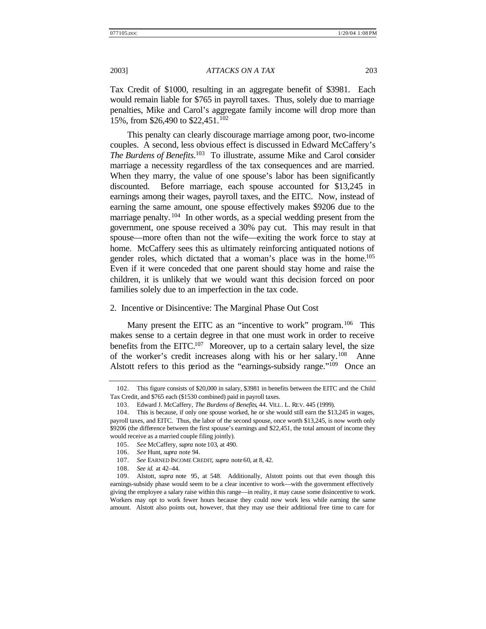Tax Credit of \$1000, resulting in an aggregate benefit of \$3981. Each would remain liable for \$765 in payroll taxes. Thus, solely due to marriage penalties, Mike and Carol's aggregate family income will drop more than 15%, from \$26,490 to \$22,451.<sup>102</sup>

This penalty can clearly discourage marriage among poor, two-income couples. A second, less obvious effect is discussed in Edward McCaffery's *The Burdens of Benefits.*<sup>103</sup> To illustrate, assume Mike and Carol consider marriage a necessity regardless of the tax consequences and are married. When they marry, the value of one spouse's labor has been significantly discounted. Before marriage, each spouse accounted for \$13,245 in earnings among their wages, payroll taxes, and the EITC. Now, instead of earning the same amount, one spouse effectively makes \$9206 due to the marriage penalty. <sup>104</sup> In other words, as a special wedding present from the government, one spouse received a 30% pay cut. This may result in that spouse—more often than not the wife—exiting the work force to stay at home. McCaffery sees this as ultimately reinforcing antiquated notions of gender roles, which dictated that a woman's place was in the home.<sup>105</sup> Even if it were conceded that one parent should stay home and raise the children, it is unlikely that we would want this decision forced on poor families solely due to an imperfection in the tax code.

#### 2. Incentive or Disincentive: The Marginal Phase Out Cost

Many present the EITC as an "incentive to work" program.<sup>106</sup> This makes sense to a certain degree in that one must work in order to receive benefits from the  $EITC<sub>107</sub>$  Moreover, up to a certain salary level, the size of the worker's credit increases along with his or her salary.<sup>108</sup> Anne Alstott refers to this period as the "earnings-subsidy range."<sup>109</sup> Once an

105. *See* McCaffery, *supra* note 103, at 490.

<sup>102.</sup> This figure consists of \$20,000 in salary, \$3981 in benefits between the EITC and the Child Tax Credit, and \$765 each (\$1530 combined) paid in payroll taxes.

<sup>103.</sup> Edward J. McCaffery, *The Burdens of Benefits*, 44. VILL. L. REV. 445 (1999).

<sup>104.</sup> This is because, if only one spouse worked, he or she would still earn the \$13,245 in wages, payroll taxes, and EITC. Thus, the labor of the second spouse, once worth \$13,245, is now worth only \$9206 (the difference between the first spouse's earnings and \$22,451, the total amount of income they would receive as a married couple filing jointly).

<sup>106.</sup> *See* Hunt, *supra* note 94.

<sup>107.</sup> *See* EARNED INCOME CREDIT, *supra* note 60, at 8, 42.

<sup>108.</sup> *See id.* at 42–44.

<sup>109.</sup> Alstott, *supra* note 95, at 548. Additionally, Alstott points out that even though this earnings-subsidy phase would seem to be a clear incentive to work—with the government effectively giving the employee a salary raise within this range—in reality, it may cause some disincentive to work. Workers may opt to work fewer hours because they could now work less while earning the same amount. Alstott also points out, however, that they may use their additional free time to care for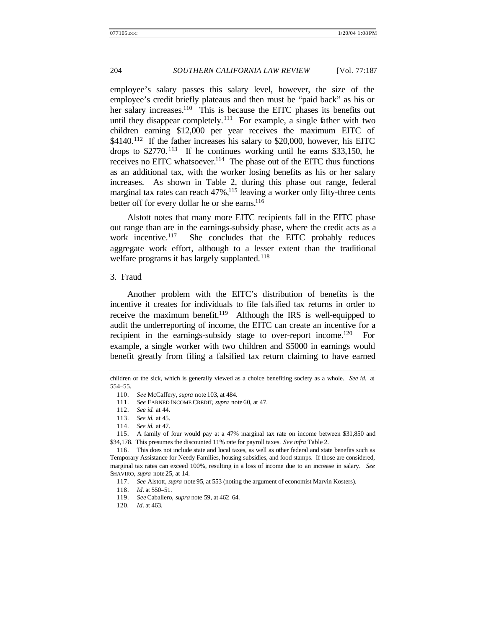employee's salary passes this salary level, however, the size of the employee's credit briefly plateaus and then must be "paid back" as his or her salary increases.<sup>110</sup> This is because the EITC phases its benefits out until they disappear completely.<sup>111</sup> For example, a single father with two children earning \$12,000 per year receives the maximum EITC of  $$4140.<sup>112</sup>$  If the father increases his salary to \$20,000, however, his EITC drops to  $$2770$ .<sup>113</sup> If he continues working until he earns  $$33,150$ , he receives no EITC whatsoever.<sup>114</sup> The phase out of the EITC thus functions as an additional tax, with the worker losing benefits as his or her salary increases. As shown in Table 2, during this phase out range, federal marginal tax rates can reach 47%,<sup>115</sup> leaving a worker only fifty-three cents better off for every dollar he or she earns. $116$ 

Alstott notes that many more EITC recipients fall in the EITC phase out range than are in the earnings-subsidy phase, where the credit acts as a work incentive.<sup>117</sup> She concludes that the EITC probably reduces aggregate work effort, although to a lesser extent than the traditional welfare programs it has largely supplanted.<sup>118</sup>

### 3. Fraud

Another problem with the EITC's distribution of benefits is the incentive it creates for individuals to file falsified tax returns in order to receive the maximum benefit.<sup>119</sup> Although the IRS is well-equipped to audit the underreporting of income, the EITC can create an incentive for a recipient in the earnings-subsidy stage to over-report income.<sup>120</sup> For example, a single worker with two children and \$5000 in earnings would benefit greatly from filing a falsified tax return claiming to have earned

children or the sick, which is generally viewed as a choice benefiting society as a whole. *See id.* at 554–55.

<sup>110.</sup> *See* McCaffery, *supra* note 103, at 484.

<sup>111.</sup> *See* EARNED INCOME CREDIT, *supra* note 60, at 47.

<sup>112.</sup> *See id.* at 44.

<sup>113.</sup> *See id.* at 45.

<sup>114.</sup> *See id.* at 47.

<sup>115.</sup> A family of four would pay at a 47% marginal tax rate on income between \$31,850 and \$34,178. This presumes the discounted 11% rate for payroll taxes. *See infra* Table 2.

<sup>116.</sup> This does not include state and local taxes, as well as other federal and state benefits such as Temporary Assistance for Needy Families, housing subsidies, and food stamps. If those are considered, marginal tax rates can exceed 100%, resulting in a loss of income due to an increase in salary. *See* SHAVIRO, *supra* note 25, at 14.

<sup>117.</sup> *See* Alstott, *supra* note 95, at 553 (noting the argument of economist Marvin Kosters).

<sup>118.</sup> *Id.* at 550–51.

<sup>119.</sup> *See* Caballero, *supra* note 59, at 462–64.

<sup>120</sup>*. Id.* at 463.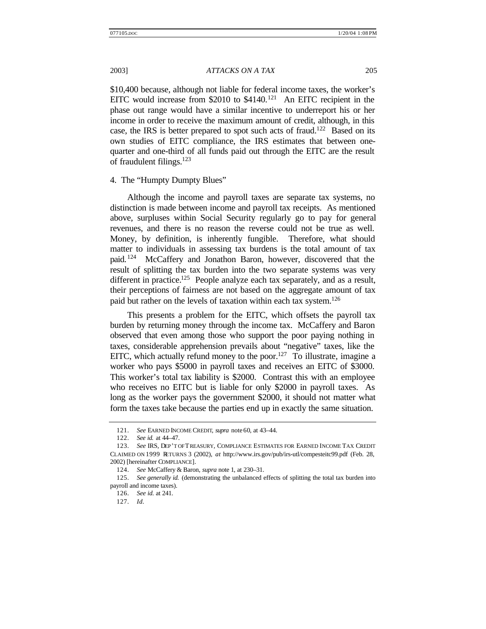\$10,400 because, although not liable for federal income taxes, the worker's EITC would increase from \$2010 to  $$4140$ .<sup>121</sup> An EITC recipient in the phase out range would have a similar incentive to underreport his or her income in order to receive the maximum amount of credit, although, in this case, the IRS is better prepared to spot such acts of fraud.<sup>122</sup> Based on its own studies of EITC compliance, the IRS estimates that between onequarter and one-third of all funds paid out through the EITC are the result of fraudulent filings.<sup>123</sup>

4. The "Humpty Dumpty Blues"

Although the income and payroll taxes are separate tax systems, no distinction is made between income and payroll tax receipts. As mentioned above, surpluses within Social Security regularly go to pay for general revenues, and there is no reason the reverse could not be true as well. Money, by definition, is inherently fungible. Therefore, what should matter to individuals in assessing tax burdens is the total amount of tax paid. <sup>124</sup> McCaffery and Jonathon Baron, however, discovered that the result of splitting the tax burden into the two separate systems was very different in practice.<sup>125</sup> People analyze each tax separately, and as a result, their perceptions of fairness are not based on the aggregate amount of tax paid but rather on the levels of taxation within each tax system.<sup>126</sup>

This presents a problem for the EITC, which offsets the payroll tax burden by returning money through the income tax. McCaffery and Baron observed that even among those who support the poor paying nothing in taxes, considerable apprehension prevails about "negative" taxes, like the EITC, which actually refund money to the poor.<sup>127</sup> To illustrate, imagine a worker who pays \$5000 in payroll taxes and receives an EITC of \$3000. This worker's total tax liability is \$2000. Contrast this with an employee who receives no EITC but is liable for only \$2000 in payroll taxes. As long as the worker pays the government \$2000, it should not matter what form the taxes take because the parties end up in exactly the same situation.

<sup>121.</sup> *See* EARNED INCOME CREDIT, *supra* note 60, at 43–44.

<sup>122.</sup> *See id.* at 44–47.

<sup>123.</sup> *See* IRS, DEP'T OF TREASURY*,* COMPLIANCE ESTIMATES FOR EARNED INCOME TAX CREDIT CLAIMED ON 1999 RETURNS 3 (2002), *at* http://www.irs.gov/pub/irs-utl/compesteitc99.pdf (Feb. 28, 2002) [hereinafter COMPLIANCE].

<sup>124.</sup> *See* McCaffery & Baron, *supra* note 1, at 230–31.

<sup>125.</sup> *See generally id.* (demonstrating the unbalanced effects of splitting the total tax burden into payroll and income taxes).

<sup>126.</sup> *See id.* at 241.

<sup>127.</sup> *Id.*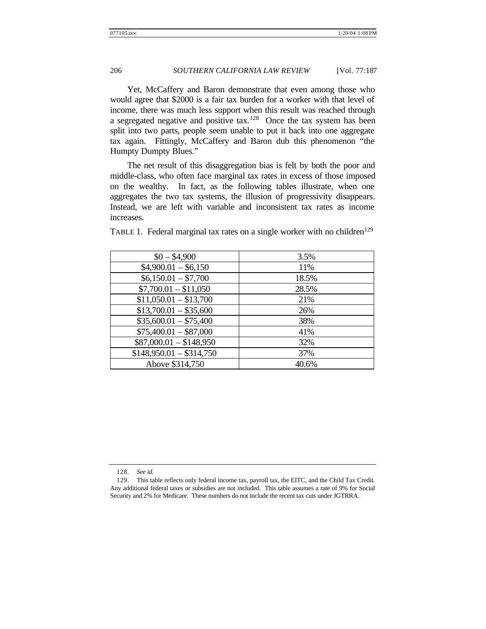Yet, McCaffery and Baron demonstrate that even among those who would agree that \$2000 is a fair tax burden for a worker with that level of income, there was much less support when this result was reached through a segregated negative and positive tax.<sup>128</sup> Once the tax system has been split into two parts, people seem unable to put it back into one aggregate tax again. Fittingly, McCaffery and Baron dub this phenomenon "the Humpty Dumpty Blues."

The net result of this disaggregation bias is felt by both the poor and middle-class, who often face marginal tax rates in excess of those imposed on the wealthy. In fact, as the following tables illustrate, when one aggregates the two tax systems, the illusion of progressivity disappears. Instead, we are left with variable and inconsistent tax rates as income increases.

| $$0 - $4,900$            | 3.5%  |
|--------------------------|-------|
| $$4,900.01 - $6,150$     | 11%   |
| $$6,150.01 - $7,700$     | 18.5% |
| $$7,700.01 - $11,050$    | 28.5% |
| $$11,050.01 - $13,700$   | 21%   |
| $$13,700.01 - $35,600$   | 26%   |
| $$35,600.01 - $75,400$   | 38%   |
| $$75,400.01 - $87,000$   | 41%   |
| $$87,000.01 - $148,950$  | 32%   |
| $$148,950.01 - $314,750$ | 37%   |
| Above \$314,750          | 40.6% |

TABLE 1. Federal marginal tax rates on a single worker with no children<sup>129</sup>

<sup>128.</sup> *See id.*

<sup>129.</sup> This table reflects only federal income tax, payroll tax, the EITC, and the Child Tax Credit. Any additional federal taxes or subsidies are not included. This table assumes a rate of 9% for Social Security and 2% for Medicare. These numbers do not include the recent tax cuts under JGTRRA.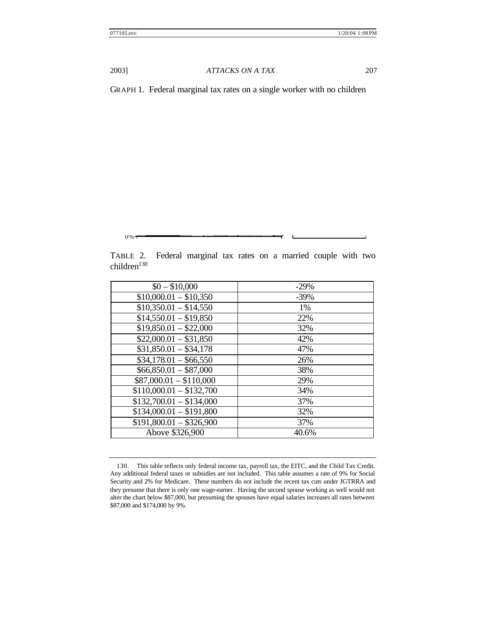0%

2003] *ATTACKS ON A TAX* 207

GRAPH 1. Federal marginal tax rates on a single worker with no children

TABLE 2. Federal marginal tax rates on a married couple with two children<sup>130</sup>

| $$0 - $10,000$                      | $-29%$  |
|-------------------------------------|---------|
| $$10,000.01 - $10,350$              | $-39\%$ |
| $$10,350.01 - $14,550$              | $1\%$   |
| $$14,550.01 - $19,850$              | 22%     |
| $$19,850.01 - $22,000$              | 32%     |
| $$22,000.01 - $31,850$              | 42%     |
| $$31,850.01 - $34,178$              | 47%     |
| $$34,178.01 - $66,550$              | 26%     |
| $$66,850.01 - $87,000$              | 38%     |
| $$87,000.01 - $110,000$             | 29%     |
| $$110,000.01 - $132,700$            | 34%     |
| $$132,700.01 - $134,000$            | 37%     |
| $$134,000.01 - $191,800$            | 32%     |
| $\overline{$191,800.01 - $326,900}$ | 37%     |
| Above \$326,900                     | 40.6%   |
|                                     |         |

<sup>130.</sup> This table reflects only federal income tax, payroll tax, the EITC, and the Child Tax Credit. Any additional federal taxes or subsidies are not included. This table assumes a rate of 9% for Social Security and 2% for Medicare. These numbers do not include the recent tax cuts under JGTRRA and they presume that there is only one wage-earner. Having the second spouse working as well would not alter the chart below \$87,000, but presuming the spouses have equal salaries increases all rates between \$87,000 and \$174,000 by 9%.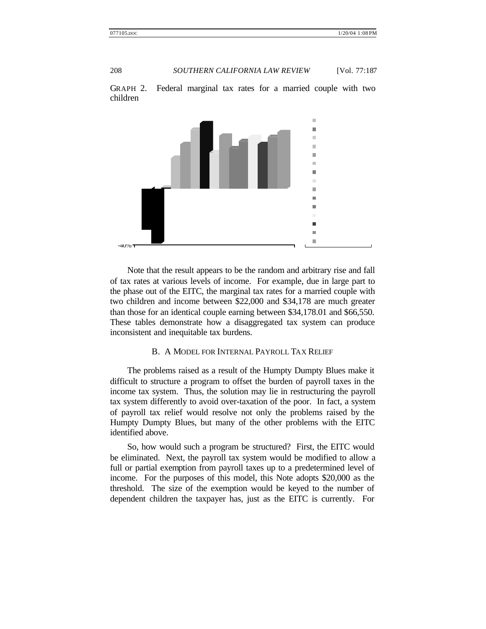

GRAPH 2. Federal marginal tax rates for a married couple with two children

Note that the result appears to be the random and arbitrary rise and fall of tax rates at various levels of income. For example, due in large part to the phase out of the EITC, the marginal tax rates for a married couple with two children and income between \$22,000 and \$34,178 are much greater than those for an identical couple earning between \$34,178.01 and \$66,550. These tables demonstrate how a disaggregated tax system can produce inconsistent and inequitable tax burdens.

### B. A MODEL FOR INTERNAL PAYROLL TAX RELIEF

The problems raised as a result of the Humpty Dumpty Blues make it difficult to structure a program to offset the burden of payroll taxes in the income tax system. Thus, the solution may lie in restructuring the payroll tax system differently to avoid over-taxation of the poor. In fact, a system of payroll tax relief would resolve not only the problems raised by the Humpty Dumpty Blues, but many of the other problems with the EITC identified above.

So, how would such a program be structured? First, the EITC would be eliminated. Next, the payroll tax system would be modified to allow a full or partial exemption from payroll taxes up to a predetermined level of income. For the purposes of this model, this Note adopts \$20,000 as the threshold. The size of the exemption would be keyed to the number of dependent children the taxpayer has, just as the EITC is currently. For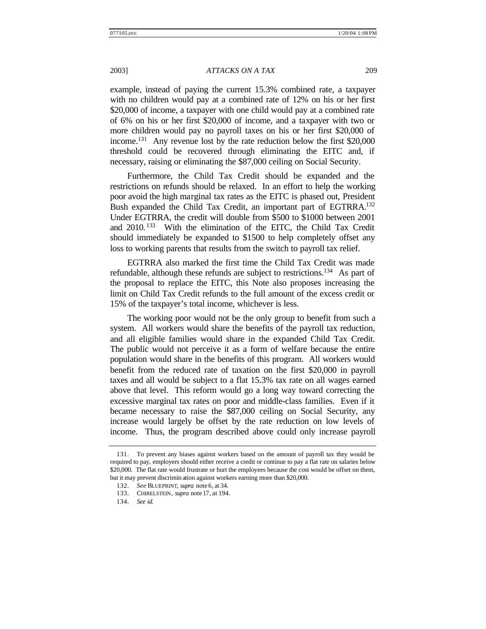example, instead of paying the current 15.3% combined rate, a taxpayer with no children would pay at a combined rate of 12% on his or her first \$20,000 of income, a taxpayer with one child would pay at a combined rate of 6% on his or her first \$20,000 of income, and a taxpayer with two or more children would pay no payroll taxes on his or her first \$20,000 of income.<sup>131</sup> Any revenue lost by the rate reduction below the first \$20,000 threshold could be recovered through eliminating the EITC and, if necessary, raising or eliminating the \$87,000 ceiling on Social Security.

Furthermore, the Child Tax Credit should be expanded and the restrictions on refunds should be relaxed. In an effort to help the working poor avoid the high marginal tax rates as the EITC is phased out, President Bush expanded the Child Tax Credit, an important part of EGTRRA.<sup>132</sup> Under EGTRRA, the credit will double from \$500 to \$1000 between 2001 and 2010. <sup>133</sup> With the elimination of the EITC, the Child Tax Credit should immediately be expanded to \$1500 to help completely offset any loss to working parents that results from the switch to payroll tax relief.

EGTRRA also marked the first time the Child Tax Credit was made refundable, although these refunds are subject to restrictions.<sup>134</sup> As part of the proposal to replace the EITC, this Note also proposes increasing the limit on Child Tax Credit refunds to the full amount of the excess credit or 15% of the taxpayer's total income, whichever is less.

The working poor would not be the only group to benefit from such a system. All workers would share the benefits of the payroll tax reduction, and all eligible families would share in the expanded Child Tax Credit. The public would not perceive it as a form of welfare because the entire population would share in the benefits of this program. All workers would benefit from the reduced rate of taxation on the first \$20,000 in payroll taxes and all would be subject to a flat 15.3% tax rate on all wages earned above that level. This reform would go a long way toward correcting the excessive marginal tax rates on poor and middle-class families. Even if it became necessary to raise the \$87,000 ceiling on Social Security, any increase would largely be offset by the rate reduction on low levels of income. Thus, the program described above could only increase payroll

<sup>131.</sup> To prevent any biases against workers based on the amount of payroll tax they would be required to pay, employers should either receive a credit or continue to pay a flat rate on salaries below \$20,000. The flat rate would frustrate or hurt the employees because the cost would be offset on them, but it may prevent discrimin ation against workers earning more than \$20,000.

<sup>132.</sup> *See* BLUEPRINT, *supra* note 6, at 34.

<sup>133.</sup> CHIRELSTEIN, *supra* note 17, at 194.

<sup>134.</sup> *See id.*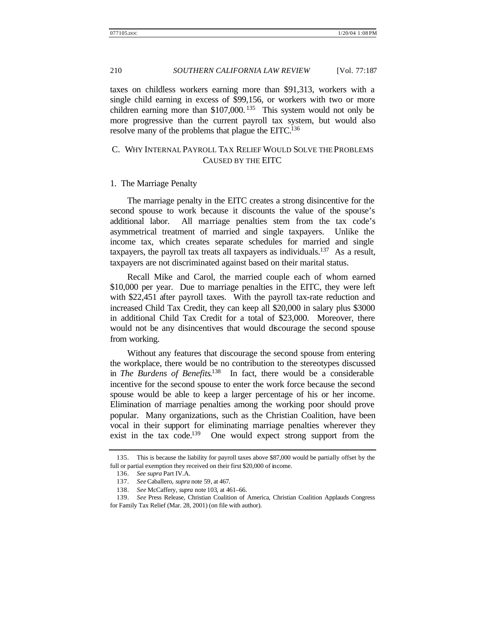taxes on childless workers earning more than \$91,313, workers with a single child earning in excess of \$99,156, or workers with two or more children earning more than  $$107,000$ . <sup>135</sup> This system would not only be more progressive than the current payroll tax system, but would also resolve many of the problems that plague the EITC.<sup>136</sup>

# C. WHY INTERNAL PAYROLL TAX RELIEF WOULD SOLVE THE PROBLEMS CAUSED BY THE EITC

#### 1. The Marriage Penalty

The marriage penalty in the EITC creates a strong disincentive for the second spouse to work because it discounts the value of the spouse's additional labor. All marriage penalties stem from the tax code's asymmetrical treatment of married and single taxpayers. Unlike the income tax, which creates separate schedules for married and single taxpayers, the payroll tax treats all taxpayers as individuals.<sup>137</sup> As a result, taxpayers are not discriminated against based on their marital status.

Recall Mike and Carol, the married couple each of whom earned \$10,000 per year. Due to marriage penalties in the EITC, they were left with \$22,451 after payroll taxes. With the payroll tax-rate reduction and increased Child Tax Credit, they can keep all \$20,000 in salary plus \$3000 in additional Child Tax Credit for a total of \$23,000. Moreover, there would not be any disincentives that would discourage the second spouse from working.

Without any features that discourage the second spouse from entering the workplace, there would be no contribution to the stereotypes discussed in *The Burdens of Benefits*. <sup>138</sup> In fact, there would be a considerable incentive for the second spouse to enter the work force because the second spouse would be able to keep a larger percentage of his or her income. Elimination of marriage penalties among the working poor should prove popular. Many organizations, such as the Christian Coalition, have been vocal in their support for eliminating marriage penalties wherever they exist in the tax code.<sup>139</sup> One would expect strong support from the

<sup>135.</sup> This is because the liability for payroll taxes above \$87,000 would be partially offset by the full or partial exemption they received on their first \$20,000 of income.

<sup>136.</sup> *See supra* Part IV.A.

<sup>137.</sup> *See* Caballero, *supra* note 59, at 467.

<sup>138.</sup> *See* McCaffery, *supra* note 103, at 461–66.

<sup>139.</sup> *See* Press Release, Christian Coalition of America, Christian Coalition Applauds Congress for Family Tax Relief (Mar. 28, 2001) (on file with author).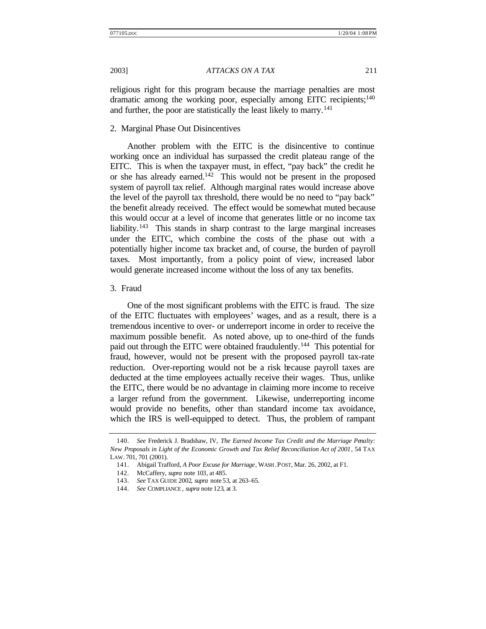religious right for this program because the marriage penalties are most dramatic among the working poor, especially among EITC recipients;<sup>140</sup> and further, the poor are statistically the least likely to marry.<sup>141</sup>

## 2. Marginal Phase Out Disincentives

Another problem with the EITC is the disincentive to continue working once an individual has surpassed the credit plateau range of the EITC. This is when the taxpayer must, in effect, "pay back" the credit he or she has already earned.<sup>142</sup> This would not be present in the proposed system of payroll tax relief. Although marginal rates would increase above the level of the payroll tax threshold, there would be no need to "pay back" the benefit already received. The effect would be somewhat muted because this would occur at a level of income that generates little or no income tax liability.<sup>143</sup> This stands in sharp contrast to the large marginal increases under the EITC, which combine the costs of the phase out with a potentially higher income tax bracket and, of course, the burden of payroll taxes. Most importantly, from a policy point of view, increased labor would generate increased income without the loss of any tax benefits.

### 3. Fraud

One of the most significant problems with the EITC is fraud. The size of the EITC fluctuates with employees' wages, and as a result, there is a tremendous incentive to over- or underreport income in order to receive the maximum possible benefit. As noted above, up to one-third of the funds paid out through the EITC were obtained fraudulently.<sup>144</sup> This potential for fraud, however, would not be present with the proposed payroll tax-rate reduction. Over-reporting would not be a risk because payroll taxes are deducted at the time employees actually receive their wages. Thus, unlike the EITC, there would be no advantage in claiming more income to receive a larger refund from the government. Likewise, underreporting income would provide no benefits, other than standard income tax avoidance, which the IRS is well-equipped to detect. Thus, the problem of rampant

<sup>140.</sup> *See* Frederick J. Bradshaw, IV, *The Earned Income Tax Credit and the Marriage Penalty: New Proposals in Light of the Economic Growth and Tax Relief Reconciliation Act of 2001*, 54 TAX LAW. 701, 701 (2001).

<sup>141.</sup> Abigail Trafford, *A Poor Excuse for Marriage*, WASH . POST, Mar. 26, 2002, at F1.

<sup>142.</sup> McCaffery, *supra* note 103, at 485.

<sup>143.</sup> *See* TAX GUIDE 2002, *supra* note 53, at 263–65.

<sup>144.</sup> *See* COMPLIANCE , *supra* note 123, at 3.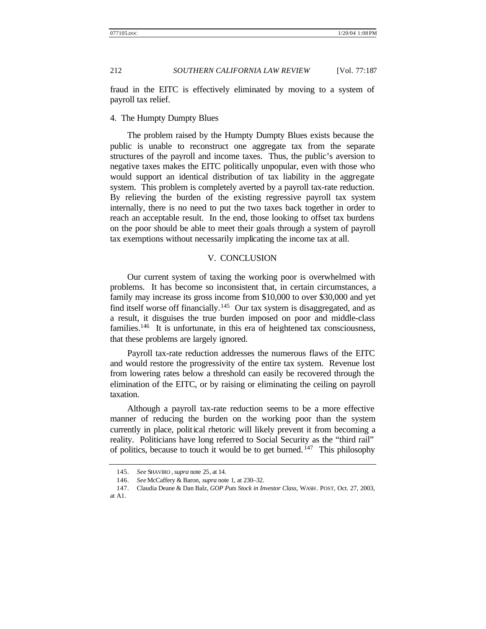fraud in the EITC is effectively eliminated by moving to a system of payroll tax relief.

### 4. The Humpty Dumpty Blues

The problem raised by the Humpty Dumpty Blues exists because the public is unable to reconstruct one aggregate tax from the separate structures of the payroll and income taxes. Thus, the public's aversion to negative taxes makes the EITC politically unpopular, even with those who would support an identical distribution of tax liability in the aggregate system. This problem is completely averted by a payroll tax-rate reduction. By relieving the burden of the existing regressive payroll tax system internally, there is no need to put the two taxes back together in order to reach an acceptable result. In the end, those looking to offset tax burdens on the poor should be able to meet their goals through a system of payroll tax exemptions without necessarily implicating the income tax at all.

### V. CONCLUSION

Our current system of taxing the working poor is overwhelmed with problems. It has become so inconsistent that, in certain circumstances, a family may increase its gross income from \$10,000 to over \$30,000 and yet find itself worse off financially.<sup>145</sup> Our tax system is disaggregated, and as a result, it disguises the true burden imposed on poor and middle-class families.<sup>146</sup> It is unfortunate, in this era of heightened tax consciousness, that these problems are largely ignored.

Payroll tax-rate reduction addresses the numerous flaws of the EITC and would restore the progressivity of the entire tax system. Revenue lost from lowering rates below a threshold can easily be recovered through the elimination of the EITC, or by raising or eliminating the ceiling on payroll taxation.

Although a payroll tax-rate reduction seems to be a more effective manner of reducing the burden on the working poor than the system currently in place, political rhetoric will likely prevent it from becoming a reality. Politicians have long referred to Social Security as the "third rail" of politics, because to touch it would be to get burned.  $147$  This philosophy

<sup>145.</sup> *See* SHAVIRO , *supra* note 25, at 14.

<sup>146.</sup> *See* McCaffery & Baron, *supra* note 1, at 230–32.

<sup>147.</sup> Claudia Deane & Dan Balz, *GOP Puts Stock in Investor Class*, WASH . POST, Oct. 27, 2003, at A1.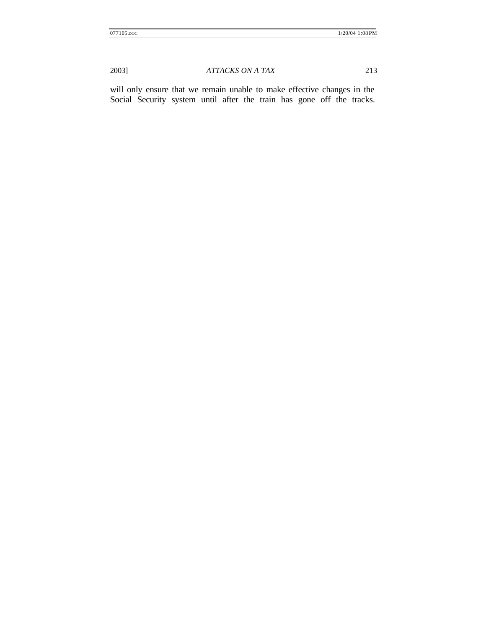will only ensure that we remain unable to make effective changes in the Social Security system until after the train has gone off the tracks.